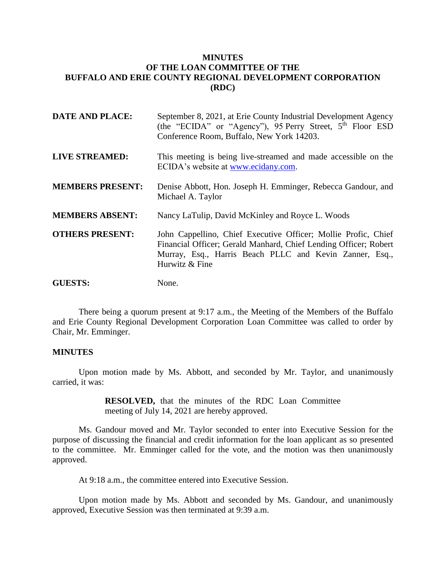## **MINUTES OF THE LOAN COMMITTEE OF THE BUFFALO AND ERIE COUNTY REGIONAL DEVELOPMENT CORPORATION (RDC)**

| <b>DATE AND PLACE:</b>  | September 8, 2021, at Erie County Industrial Development Agency<br>(the "ECIDA" or "Agency"), 95 Perry Street, 5 <sup>th</sup> Floor ESD<br>Conference Room, Buffalo, New York 14203.                           |
|-------------------------|-----------------------------------------------------------------------------------------------------------------------------------------------------------------------------------------------------------------|
| <b>LIVE STREAMED:</b>   | This meeting is being live-streamed and made accessible on the<br>ECIDA's website at www.ecidany.com.                                                                                                           |
| <b>MEMBERS PRESENT:</b> | Denise Abbott, Hon. Joseph H. Emminger, Rebecca Gandour, and<br>Michael A. Taylor                                                                                                                               |
| <b>MEMBERS ABSENT:</b>  | Nancy LaTulip, David McKinley and Royce L. Woods                                                                                                                                                                |
| <b>OTHERS PRESENT:</b>  | John Cappellino, Chief Executive Officer; Mollie Profic, Chief<br>Financial Officer; Gerald Manhard, Chief Lending Officer; Robert<br>Murray, Esq., Harris Beach PLLC and Kevin Zanner, Esq.,<br>Hurwitz & Fine |
| <b>GUESTS:</b>          | None.                                                                                                                                                                                                           |

There being a quorum present at 9:17 a.m., the Meeting of the Members of the Buffalo and Erie County Regional Development Corporation Loan Committee was called to order by Chair, Mr. Emminger.

## **MINUTES**

Upon motion made by Ms. Abbott, and seconded by Mr. Taylor, and unanimously carried, it was:

> **RESOLVED,** that the minutes of the RDC Loan Committee meeting of July 14, 2021 are hereby approved.

Ms. Gandour moved and Mr. Taylor seconded to enter into Executive Session for the purpose of discussing the financial and credit information for the loan applicant as so presented to the committee. Mr. Emminger called for the vote, and the motion was then unanimously approved.

At 9:18 a.m., the committee entered into Executive Session.

Upon motion made by Ms. Abbott and seconded by Ms. Gandour, and unanimously approved, Executive Session was then terminated at 9:39 a.m.